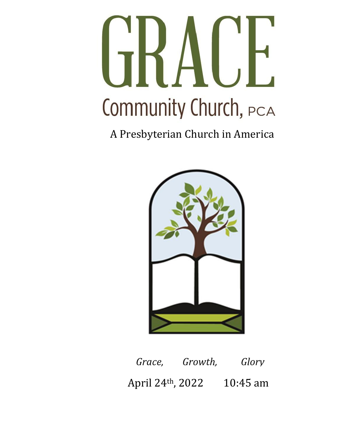

A Presbyterian Church in America



Grace, Growth, Glory April 24th, 2022 10:45 am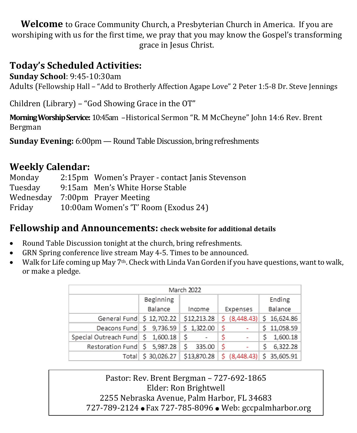**Welcome** to Grace Community Church, a Presbyterian Church in America. If you are worshiping with us for the first time, we pray that you may know the Gospel's transforming grace in Jesus Christ.

## **Today's Scheduled Activities:**

**Sunday School**: 9:45-10:30am Adults (Fellowship Hall – "Add to Brotherly Affection Agape Love" 2 Peter 1:5-8 Dr. Steve Jennings

Children (Library) – "God Showing Grace in the OT"

**Morning Worship Service:** 10:45am –Historical Sermon "R. M McCheyne" John 14:6 Rev. Brent Bergman

**Sunday Evening:** 6:00pm — Round Table Discussion, bring refreshments

### **Weekly Calendar:**

| Monday  | 2:15pm Women's Prayer - contact Janis Stevenson |
|---------|-------------------------------------------------|
| Tuesday | 9:15am Men's White Horse Stable                 |
|         | Wednesday 7:00pm Prayer Meeting                 |
| Friday  | 10:00am Women's 'T' Room (Exodus 24)            |

### **Fellowship and Announcements: check website for additional details**

- Round Table Discussion tonight at the church, bring refreshments.
- GRN Spring conference live stream May 4-5. Times to be announced.
- Walk for Life coming up May  $7<sup>th</sup>$ . Check with Linda Van Gorden if you have questions, want to walk, or make a pledge.

| March 2022                            |                                |              |               |             |
|---------------------------------------|--------------------------------|--------------|---------------|-------------|
|                                       | Beginning                      |              |               | Ending      |
|                                       | Balance                        | Income       | Expenses      | Balance     |
| General Fund \$ 12,702.22 \$12,213.28 |                                |              | \$ (8,448.43) | \$16,624.86 |
| Deacons Fund \$ 9,736.59              |                                | \$1,322.00   | Š             | \$11,058.59 |
| Special Outreach Fund \$ 1,600.18     |                                | - 5          | s             | 1,600.18    |
| Restoration Fund \$ 5,987.28          |                                | S.<br>335.00 | .S<br>ä,      | 6,322.28    |
|                                       | Total \$ 30,026.27 \$13,870.28 |              | 5(8,448.43)   | \$35,605.91 |

Pastor: Rev. Brent Bergman – 727-692-1865 Elder: Ron Brightwell 2255 Nebraska Avenue, Palm Harbor, FL 34683 727-789-2124 ● Fax 727-785-8096 ● Web: gccpalmharbor.org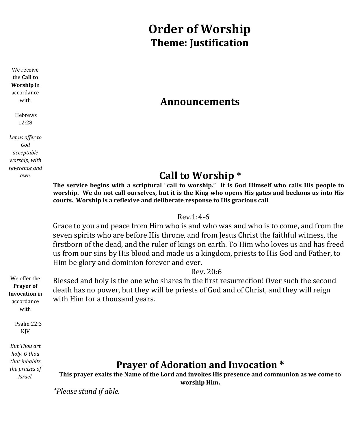# **Order of Worship Theme: Justification**

**Announcements**

## **Call to Worship \***

**The service begins with a scriptural "call to worship." It is God Himself who calls His people to worship. We do not call ourselves, but it is the King who opens His gates and beckons us into His courts. Worship is a reflexive and deliberate response to His gracious call**.

Rev.1:4-6

Grace to you and peace from Him who is and who was and who is to come, and from the seven spirits who are before His throne, and from Jesus Christ the faithful witness, the firstborn of the dead, and the ruler of kings on earth. To Him who loves us and has freed us from our sins by His blood and made us a kingdom, priests to His God and Father, to Him be glory and dominion forever and ever.

Rev. 20:6

Blessed and holy is the one who shares in the first resurrection! Over such the second death has no power, but they will be priests of God and of Christ, and they will reign with Him for a thousand years. **Invocation** in

 Psalm 22:3 KJV

We offer the **Prayer of** 

accordance with

*But Thou art holy, O thou that inhabits the praises of Israel.*

### **Prayer of Adoration and Invocation \***

**This prayer exalts the Name of the Lord and invokes His presence and communion as we come to worship Him.**

*\*Please stand if able.*

### Hebrews 12:28 *Let us offer to*

We receive the **Call to Worship** in accordance with

*God acceptable worship, with reverence and awe.*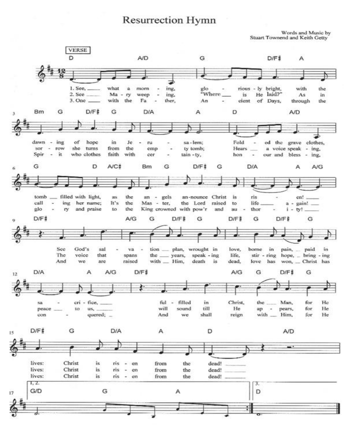### **Resurrection Hymn**

Words and Music by Stuart Townend and Keith Getty

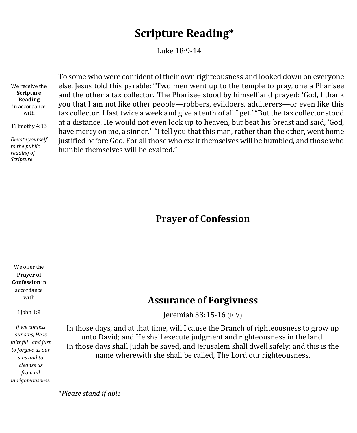## **Scripture Reading\***

Luke 18:9-14

We receive the **Scripture Reading** in accordance with 1Timothy 4:13

*Devote yourself to the public reading of Scripture*

To some who were confident of their own righteousness and looked down on everyone else, Jesus told this parable: "Two men went up to the temple to pray, one a Pharisee and the other a tax collector. The Pharisee stood by himself and prayed: 'God, I thank you that I am not like other people—robbers, evildoers, adulterers—or even like this tax collector. I fast twice a week and give a tenth of all I get.'"But the tax collector stood at a distance. He would not even look up to heaven, but beat his breast and said, 'God, have mercy on me, a sinner.' "I tell you that this man, rather than the other, went home justified before God. For all those who exalt themselves will be humbled, and those who humble themselves will be exalted."

### **Prayer of Confession**

We offer the **Prayer of Confession** in accordance with

I John 1:9

*If we confess our sins, He is faithful and just to forgive us our sins and to cleanse us from all unrighteousness.*

### **Assurance of Forgivness**

Jeremiah 33:15-16 (KJV)

In those days, and at that time, will I cause the Branch of righteousness to grow up unto David; and He shall execute judgment and righteousness in the land. In those days shall Judah be saved, and Jerusalem shall dwell safely: and this is the name wherewith she shall be called, The Lord our righteousness.

\**Please stand if able*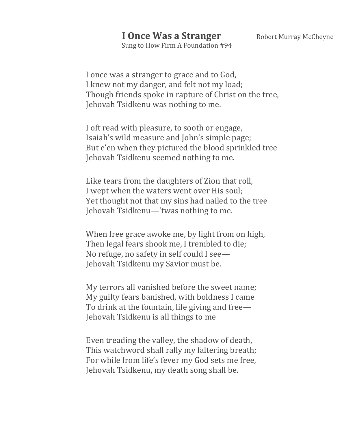### **I Once Was a Stranger** Robert Murray McCheyne

Sung to How Firm A Foundation #94

I once was a stranger to grace and to God, I knew not my danger, and felt not my load; Though friends spoke in rapture of Christ on the tree, Jehovah Tsidkenu was nothing to me.

I oft read with pleasure, to sooth or engage, Isaiah's wild measure and John's simple page; But e'en when they pictured the blood sprinkled tree Jehovah Tsidkenu seemed nothing to me.

Like tears from the daughters of Zion that roll, I wept when the waters went over His soul; Yet thought not that my sins had nailed to the tree Jehovah Tsidkenu—'twas nothing to me.

When free grace awoke me, by light from on high, Then legal fears shook me, I trembled to die; No refuge, no safety in self could I see— Jehovah Tsidkenu my Savior must be.

My terrors all vanished before the sweet name; My guilty fears banished, with boldness I came To drink at the fountain, life giving and free— Jehovah Tsidkenu is all things to me

Even treading the valley, the shadow of death, This watchword shall rally my faltering breath; For while from life's fever my God sets me free, Jehovah Tsidkenu, my death song shall be.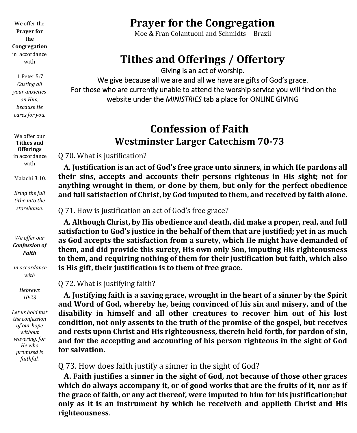We offer the **Prayer for the Congregation** in accordance with

1 Peter 5:7 *Casting all your anxieties on Him, because He cares for you.*

We offer our **Tithes and Offerings** in accordance with

Malachi 3:10.

*Bring the full tithe into the storehouse.*

*We offer our Confession of Faith*

*in accordance with*

> *Hebrews 10:23*

*Let us hold fast the confession of our hope without wavering, for He who promised is faithful.*

## **Prayer for the Congregation**

Moe & Fran Colantuoni and Schmidts—Brazil

# **Tithes and Offerings / Offertory**

Giving is an act of worship.

We give because all we are and all we have are gifts of God's grace. For those who are currently unable to attend the worship service you will find on the website under the *MINISTRIES* tab a place for ONLINE GIVING

## **Confession of Faith Westminster Larger Catechism 70-73**

Q 70. What is justification?

**A. Justification is an act of God's free grace unto sinners, in which He pardons all their sins, accepts and accounts their persons righteous in His sight; not for anything wrought in them, or done by them, but only for the perfect obedience and full satisfaction of Christ, by God imputed to them, and received by faith alone**.

#### Q 71. How is justification an act of God's free grace?

**A. Although Christ, by His obedience and death, did make a proper, real, and full satisfaction to God's justice in the behalf of them that are justified; yet in as much as God accepts the satisfaction from a surety, which He might have demanded of them, and did provide this surety, His own only Son, imputing His righteousness to them, and requiring nothing of them for their justification but faith, which also is His gift, their justification is to them of free grace.**

#### Q 72. What is justifying faith?

**A. Justifying faith is a saving grace, wrought in the heart of a sinner by the Spirit and Word of God, whereby he, being convinced of his sin and misery, and of the disability in himself and all other creatures to recover him out of his lost condition, not only assents to the truth of the promise of the gospel, but receives and rests upon Christ and His righteousness, therein held forth, for pardon of sin, and for the accepting and accounting of his person righteous in the sight of God for salvation.**

#### Q 73. How does faith justify a sinner in the sight of God?

**A. Faith justifies a sinner in the sight of God, not because of those other graces which do always accompany it, or of good works that are the fruits of it, nor as if the grace of faith, or any act thereof, were imputed to him for his justification;but only as it is an instrument by which he receiveth and applieth Christ and His righteousness**.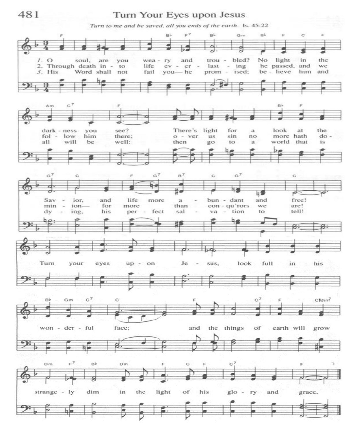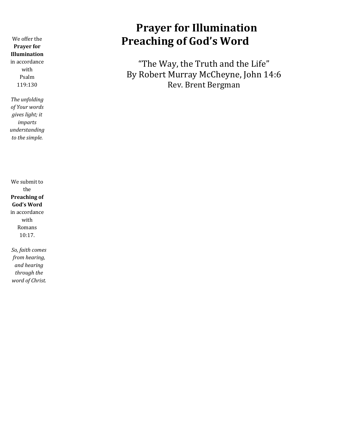We offer the **Prayer for Illumination** in accordance with Psalm 119:130

*The unfolding of Your words gives light; it imparts understanding to the simple.*

We submit to the **Preaching of God's Word**  in accordance with Romans 10:17.

*So, faith comes from hearing, and hearing through the word of Christ.*

# **Prayer for Illumination Preaching of God's Word**

"The Way, the Truth and the Life" By Robert Murray McCheyne, John 14:6 Rev. Brent Bergman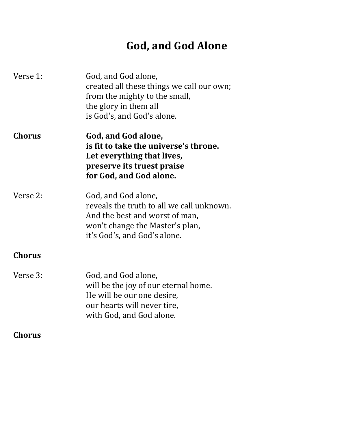# **God, and God Alone**

| Verse 1:      | God, and God alone,<br>created all these things we call our own;<br>from the mighty to the small,<br>the glory in them all<br>is God's, and God's alone.              |
|---------------|-----------------------------------------------------------------------------------------------------------------------------------------------------------------------|
| <b>Chorus</b> | God, and God alone,<br>is fit to take the universe's throne.<br>Let everything that lives,<br>preserve its truest praise<br>for God, and God alone.                   |
| Verse 2:      | God, and God alone,<br>reveals the truth to all we call unknown.<br>And the best and worst of man,<br>won't change the Master's plan,<br>it's God's, and God's alone. |
| <b>Chorus</b> |                                                                                                                                                                       |
| Verse 3:      | God, and God alone,<br>will be the joy of our eternal home.<br>He will be our one desire,<br>our hearts will never tire,<br>with God, and God alone.                  |
| <b>Chorus</b> |                                                                                                                                                                       |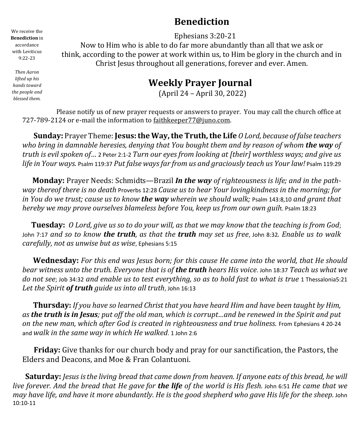### **Benediction**

Ephesians 3:20-21 Now to Him who is able to do far more abundantly than all that we ask or think, according to the power at work within us, to Him be glory in the church and in Christ Jesus throughout all generations, forever and ever. Amen.

### **Weekly Prayer Journal**

(April 24 – April 30, 2022)

Please notify us of new prayer requests or answers to prayer. You may call the church office at 727-789-2124 or e-mail the information to faithkeeper77@juno.com.

 **Sunday:** Prayer Theme:**Jesus:the Way, the Truth, the Life** *O Lord, because of false teachers who bring in damnable heresies, denying that You bought them and by reason of whom the way of truth is evil spoken of…* 2 Peter 2:1-2 *Turn our eyes from looking at [their] worthless ways; and give us life in Your ways.* Psalm 119:37 *Put false ways far from us and graciously teach us Your law!* Psalm 119:29

 **Monday:** Prayer Needs: Schmidts—Brazil *In the way of righteousness is life; and in the pathway thereof there is no death* Proverbs 12:28 *Cause us to hear Your lovingkindness in the morning; for in You do we trust; cause us to know the way wherein we should walk; Psalm 143:8,10 and grant that hereby we may prove ourselves blameless before You, keep us from our own guil*t. Psalm 18:23

 **Tuesday:** *O Lord, give us so to do your will, as that we may know that the teaching is from God*; John 7:17 *and so to know the truth, as that the truth may set us free*, John 8:32*. Enable us to walk carefully, not as unwise but as wise*, Ephesians 5:15

 **Wednesday:** *For this end was Jesus born; for this cause He came into the world, that He should bear witness unto the truth. Everyone that is of the truth hears His voice*. John 18:37 *Teach us what we do not see*; Job 34:32 *and enable us to test everything, so as to hold fast to what is true* 1 Thessalonia5:21 *Let the Spirit of truth guide us into all truth*, John 16:13

 **Thursday:** *If you have so learned Christ that you have heard Him and have been taught by Him, as the truth is in Jesus; put off the old man, which is corrupt…and be renewed in the Spirit and put on the new man, which after God is created in righteousness and true holiness.* From Ephesians 4 20-24 and *walk in the same way in which He walked*. 1 John 2:6

 **Friday:** Give thanks for our church body and pray for our sanctification, the Pastors, the Elders and Deacons, and Moe & Fran Colantuoni.

 **Saturday:** *Jesus isthe living bread that came down from heaven. If anyone eats of this bread, he will live forever. And the bread that He gave for the life of the world is His flesh.* John 6:51 *He came that we may have life, and have it more abundantly. He is the good shepherd who gave His life for the sheep.* John 10:10-11

We receive the **Benediction** in accordance with Leviticus 9:22-23

*Then Aaron lifted up his hands toward the people and blessed them.*